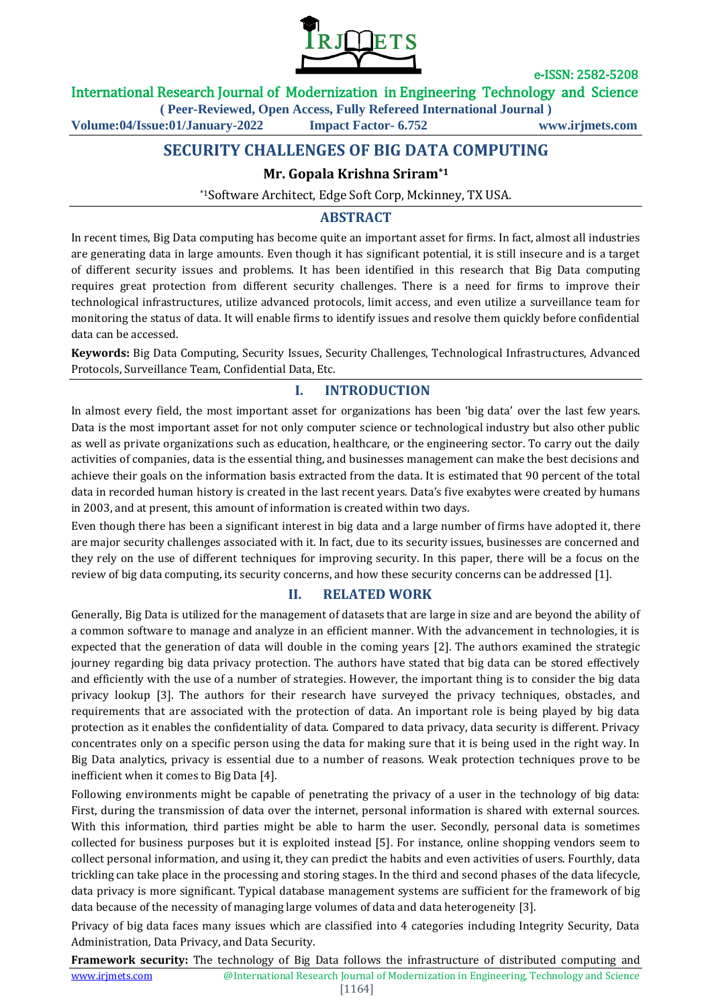

International Research Journal of Modernization in Engineering Technology and Science

**( Peer-Reviewed, Open Access, Fully Refereed International Journal )**

**Volume:04/Issue:01/January-2022 Impact Factor- 6.752 www.irjmets.com**

# **SECURITY CHALLENGES OF BIG DATA COMPUTING**

### **Mr. Gopala Krishna Sriram\*1**

\*1Software Architect, Edge Soft Corp, Mckinney, TX USA.

### **ABSTRACT**

In recent times, Big Data computing has become quite an important asset for firms. In fact, almost all industries are generating data in large amounts. Even though it has significant potential, it is still insecure and is a target of different security issues and problems. It has been identified in this research that Big Data computing requires great protection from different security challenges. There is a need for firms to improve their technological infrastructures, utilize advanced protocols, limit access, and even utilize a surveillance team for monitoring the status of data. It will enable firms to identify issues and resolve them quickly before confidential data can be accessed.

**Keywords:** Big Data Computing, Security Issues, Security Challenges, Technological Infrastructures, Advanced Protocols, Surveillance Team, Confidential Data, Etc.

### **I. INTRODUCTION**

In almost every field, the most important asset for organizations has been 'big data' over the last few years. Data is the most important asset for not only computer science or technological industry but also other public as well as private organizations such as education, healthcare, or the engineering sector. To carry out the daily activities of companies, data is the essential thing, and businesses management can make the best decisions and achieve their goals on the information basis extracted from the data. It is estimated that 90 percent of the total data in recorded human history is created in the last recent years. Data's five exabytes were created by humans in 2003, and at present, this amount of information is created within two days.

Even though there has been a significant interest in big data and a large number of firms have adopted it, there are major security challenges associated with it. In fact, due to its security issues, businesses are concerned and they rely on the use of different techniques for improving security. In this paper, there will be a focus on the review of big data computing, its security concerns, and how these security concerns can be addressed [1].

### **II. RELATED WORK**

Generally, Big Data is utilized for the management of datasets that are large in size and are beyond the ability of a common software to manage and analyze in an efficient manner. With the advancement in technologies, it is expected that the generation of data will double in the coming years [2]. The authors examined the strategic journey regarding big data privacy protection. The authors have stated that big data can be stored effectively and efficiently with the use of a number of strategies. However, the important thing is to consider the big data privacy lookup [3]. The authors for their research have surveyed the privacy techniques, obstacles, and requirements that are associated with the protection of data. An important role is being played by big data protection as it enables the confidentiality of data. Compared to data privacy, data security is different. Privacy concentrates only on a specific person using the data for making sure that it is being used in the right way. In Big Data analytics, privacy is essential due to a number of reasons. Weak protection techniques prove to be inefficient when it comes to Big Data [4].

Following environments might be capable of penetrating the privacy of a user in the technology of big data: First, during the transmission of data over the internet, personal information is shared with external sources. With this information, third parties might be able to harm the user. Secondly, personal data is sometimes collected for business purposes but it is exploited instead [5]. For instance, online shopping vendors seem to collect personal information, and using it, they can predict the habits and even activities of users. Fourthly, data trickling can take place in the processing and storing stages. In the third and second phases of the data lifecycle, data privacy is more significant. Typical database management systems are sufficient for the framework of big data because of the necessity of managing large volumes of data and data heterogeneity [3].

Privacy of big data faces many issues which are classified into 4 categories including Integrity Security, Data Administration, Data Privacy, and Data Security.

www.irjmets.com <sup>@International Research</sup> Journal of Modernization in Engineering, Technology and Science **Framework security:** The technology of Big Data follows the infrastructure of distributed computing and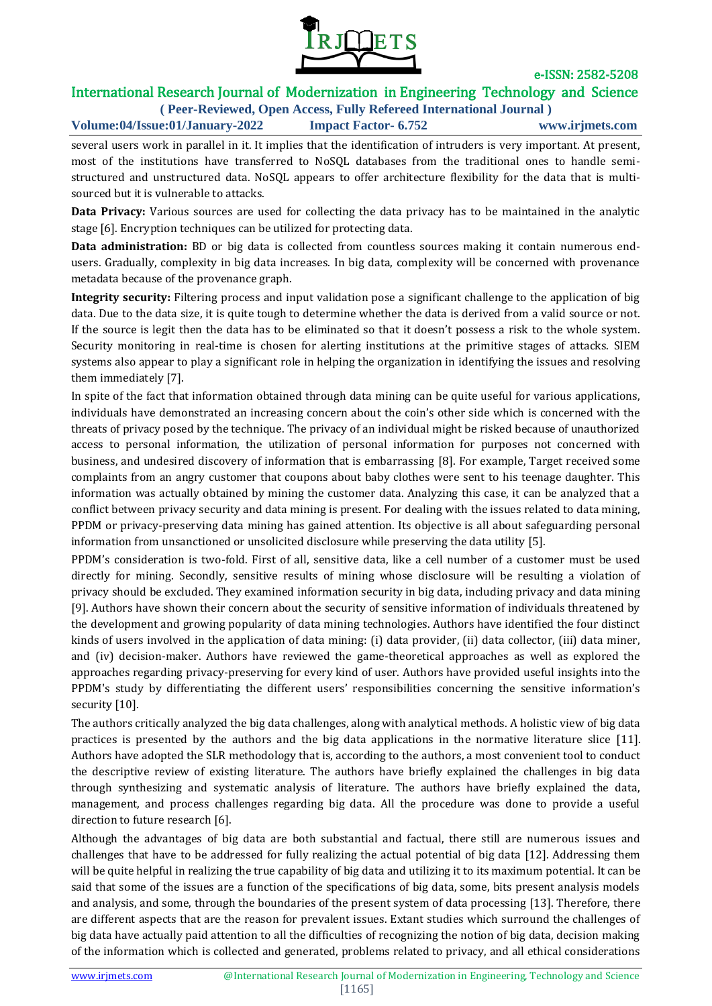

# International Research Journal of Modernization in Engineering Technology and Science

**( Peer-Reviewed, Open Access, Fully Refereed International Journal ) Volume:04/Issue:01/January-2022 Impact Factor- 6.752 www.irjmets.com**

several users work in parallel in it. It implies that the identification of intruders is very important. At present, most of the institutions have transferred to NoSQL databases from the traditional ones to handle semistructured and unstructured data. NoSQL appears to offer architecture flexibility for the data that is multisourced but it is vulnerable to attacks.

**Data Privacy:** Various sources are used for collecting the data privacy has to be maintained in the analytic stage [6]. Encryption techniques can be utilized for protecting data.

**Data administration:** BD or big data is collected from countless sources making it contain numerous endusers. Gradually, complexity in big data increases. In big data, complexity will be concerned with provenance metadata because of the provenance graph.

**Integrity security:** Filtering process and input validation pose a significant challenge to the application of big data. Due to the data size, it is quite tough to determine whether the data is derived from a valid source or not. If the source is legit then the data has to be eliminated so that it doesn't possess a risk to the whole system. Security monitoring in real-time is chosen for alerting institutions at the primitive stages of attacks. SIEM systems also appear to play a significant role in helping the organization in identifying the issues and resolving them immediately [7].

In spite of the fact that information obtained through data mining can be quite useful for various applications, individuals have demonstrated an increasing concern about the coin's other side which is concerned with the threats of privacy posed by the technique. The privacy of an individual might be risked because of unauthorized access to personal information, the utilization of personal information for purposes not concerned with business, and undesired discovery of information that is embarrassing [8]. For example, Target received some complaints from an angry customer that coupons about baby clothes were sent to his teenage daughter. This information was actually obtained by mining the customer data. Analyzing this case, it can be analyzed that a conflict between privacy security and data mining is present. For dealing with the issues related to data mining, PPDM or privacy-preserving data mining has gained attention. Its objective is all about safeguarding personal information from unsanctioned or unsolicited disclosure while preserving the data utility [5].

PPDM's consideration is two-fold. First of all, sensitive data, like a cell number of a customer must be used directly for mining. Secondly, sensitive results of mining whose disclosure will be resulting a violation of privacy should be excluded. They examined information security in big data, including privacy and data mining [9]. Authors have shown their concern about the security of sensitive information of individuals threatened by the development and growing popularity of data mining technologies. Authors have identified the four distinct kinds of users involved in the application of data mining: (i) data provider, (ii) data collector, (iii) data miner, and (iv) decision-maker. Authors have reviewed the game-theoretical approaches as well as explored the approaches regarding privacy-preserving for every kind of user. Authors have provided useful insights into the PPDM's study by differentiating the different users' responsibilities concerning the sensitive information's security [10].

The authors critically analyzed the big data challenges, along with analytical methods. A holistic view of big data practices is presented by the authors and the big data applications in the normative literature slice [11]. Authors have adopted the SLR methodology that is, according to the authors, a most convenient tool to conduct the descriptive review of existing literature. The authors have briefly explained the challenges in big data through synthesizing and systematic analysis of literature. The authors have briefly explained the data, management, and process challenges regarding big data. All the procedure was done to provide a useful direction to future research [6].

Although the advantages of big data are both substantial and factual, there still are numerous issues and challenges that have to be addressed for fully realizing the actual potential of big data [12]. Addressing them will be quite helpful in realizing the true capability of big data and utilizing it to its maximum potential. It can be said that some of the issues are a function of the specifications of big data, some, bits present analysis models and analysis, and some, through the boundaries of the present system of data processing [13]. Therefore, there are different aspects that are the reason for prevalent issues. Extant studies which surround the challenges of big data have actually paid attention to all the difficulties of recognizing the notion of big data, decision making of the information which is collected and generated, problems related to privacy, and all ethical considerations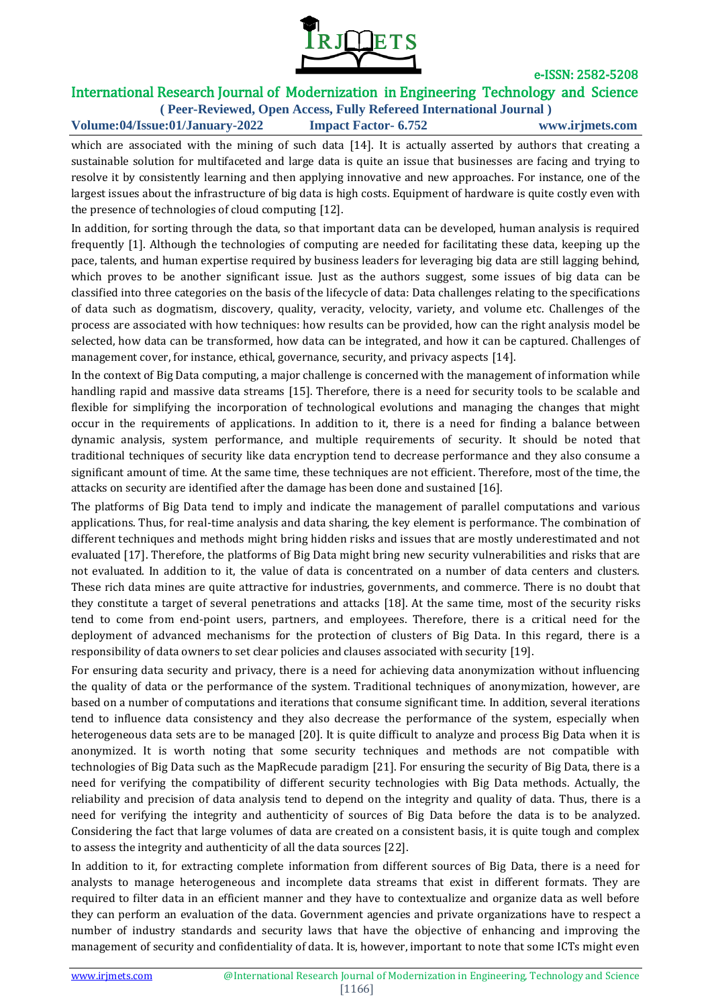

## International Research Journal of Modernization in Engineering Technology and Science

**( Peer-Reviewed, Open Access, Fully Refereed International Journal ) Volume:04/Issue:01/January-2022 Impact Factor- 6.752 www.irjmets.com**

which are associated with the mining of such data [14]. It is actually asserted by authors that creating a sustainable solution for multifaceted and large data is quite an issue that businesses are facing and trying to resolve it by consistently learning and then applying innovative and new approaches. For instance, one of the largest issues about the infrastructure of big data is high costs. Equipment of hardware is quite costly even with the presence of technologies of cloud computing [12].

In addition, for sorting through the data, so that important data can be developed, human analysis is required frequently [1]. Although the technologies of computing are needed for facilitating these data, keeping up the pace, talents, and human expertise required by business leaders for leveraging big data are still lagging behind, which proves to be another significant issue. Just as the authors suggest, some issues of big data can be classified into three categories on the basis of the lifecycle of data: Data challenges relating to the specifications of data such as dogmatism, discovery, quality, veracity, velocity, variety, and volume etc. Challenges of the process are associated with how techniques: how results can be provided, how can the right analysis model be selected, how data can be transformed, how data can be integrated, and how it can be captured. Challenges of management cover, for instance, ethical, governance, security, and privacy aspects [14].

In the context of Big Data computing, a major challenge is concerned with the management of information while handling rapid and massive data streams [15]. Therefore, there is a need for security tools to be scalable and flexible for simplifying the incorporation of technological evolutions and managing the changes that might occur in the requirements of applications. In addition to it, there is a need for finding a balance between dynamic analysis, system performance, and multiple requirements of security. It should be noted that traditional techniques of security like data encryption tend to decrease performance and they also consume a significant amount of time. At the same time, these techniques are not efficient. Therefore, most of the time, the attacks on security are identified after the damage has been done and sustained [16].

The platforms of Big Data tend to imply and indicate the management of parallel computations and various applications. Thus, for real-time analysis and data sharing, the key element is performance. The combination of different techniques and methods might bring hidden risks and issues that are mostly underestimated and not evaluated [17]. Therefore, the platforms of Big Data might bring new security vulnerabilities and risks that are not evaluated. In addition to it, the value of data is concentrated on a number of data centers and clusters. These rich data mines are quite attractive for industries, governments, and commerce. There is no doubt that they constitute a target of several penetrations and attacks [18]. At the same time, most of the security risks tend to come from end-point users, partners, and employees. Therefore, there is a critical need for the deployment of advanced mechanisms for the protection of clusters of Big Data. In this regard, there is a responsibility of data owners to set clear policies and clauses associated with security [19].

For ensuring data security and privacy, there is a need for achieving data anonymization without influencing the quality of data or the performance of the system. Traditional techniques of anonymization, however, are based on a number of computations and iterations that consume significant time. In addition, several iterations tend to influence data consistency and they also decrease the performance of the system, especially when heterogeneous data sets are to be managed [20]. It is quite difficult to analyze and process Big Data when it is anonymized. It is worth noting that some security techniques and methods are not compatible with technologies of Big Data such as the MapRecude paradigm [21]. For ensuring the security of Big Data, there is a need for verifying the compatibility of different security technologies with Big Data methods. Actually, the reliability and precision of data analysis tend to depend on the integrity and quality of data. Thus, there is a need for verifying the integrity and authenticity of sources of Big Data before the data is to be analyzed. Considering the fact that large volumes of data are created on a consistent basis, it is quite tough and complex to assess the integrity and authenticity of all the data sources [22].

In addition to it, for extracting complete information from different sources of Big Data, there is a need for analysts to manage heterogeneous and incomplete data streams that exist in different formats. They are required to filter data in an efficient manner and they have to contextualize and organize data as well before they can perform an evaluation of the data. Government agencies and private organizations have to respect a number of industry standards and security laws that have the objective of enhancing and improving the management of security and confidentiality of data. It is, however, important to note that some ICTs might even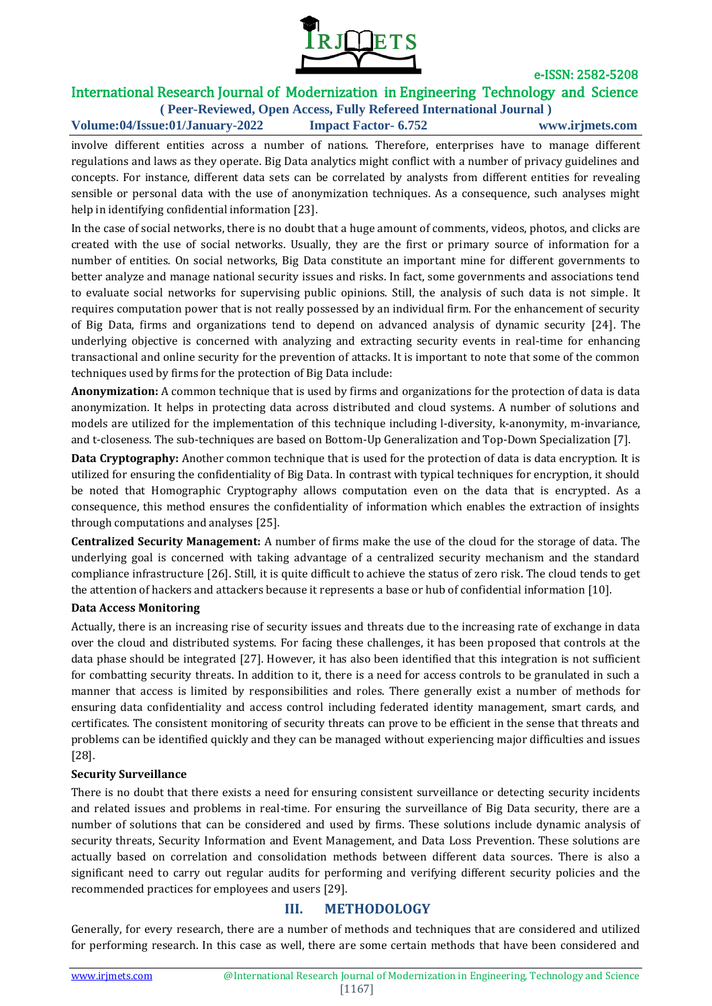

# International Research Journal of Modernization in Engineering Technology and Science

**( Peer-Reviewed, Open Access, Fully Refereed International Journal ) Volume:04/Issue:01/January-2022 Impact Factor- 6.752 www.irjmets.com**

involve different entities across a number of nations. Therefore, enterprises have to manage different regulations and laws as they operate. Big Data analytics might conflict with a number of privacy guidelines and concepts. For instance, different data sets can be correlated by analysts from different entities for revealing sensible or personal data with the use of anonymization techniques. As a consequence, such analyses might help in identifying confidential information [23].

In the case of social networks, there is no doubt that a huge amount of comments, videos, photos, and clicks are created with the use of social networks. Usually, they are the first or primary source of information for a number of entities. On social networks, Big Data constitute an important mine for different governments to better analyze and manage national security issues and risks. In fact, some governments and associations tend to evaluate social networks for supervising public opinions. Still, the analysis of such data is not simple. It requires computation power that is not really possessed by an individual firm. For the enhancement of security of Big Data, firms and organizations tend to depend on advanced analysis of dynamic security [24]. The underlying objective is concerned with analyzing and extracting security events in real-time for enhancing transactional and online security for the prevention of attacks. It is important to note that some of the common techniques used by firms for the protection of Big Data include:

**Anonymization:** A common technique that is used by firms and organizations for the protection of data is data anonymization. It helps in protecting data across distributed and cloud systems. A number of solutions and models are utilized for the implementation of this technique including l-diversity, k-anonymity, m-invariance, and t-closeness. The sub-techniques are based on Bottom-Up Generalization and Top-Down Specialization [7].

**Data Cryptography:** Another common technique that is used for the protection of data is data encryption. It is utilized for ensuring the confidentiality of Big Data. In contrast with typical techniques for encryption, it should be noted that Homographic Cryptography allows computation even on the data that is encrypted. As a consequence, this method ensures the confidentiality of information which enables the extraction of insights through computations and analyses [25].

**Centralized Security Management:** A number of firms make the use of the cloud for the storage of data. The underlying goal is concerned with taking advantage of a centralized security mechanism and the standard compliance infrastructure [26]. Still, it is quite difficult to achieve the status of zero risk. The cloud tends to get the attention of hackers and attackers because it represents a base or hub of confidential information [10].

#### **Data Access Monitoring**

Actually, there is an increasing rise of security issues and threats due to the increasing rate of exchange in data over the cloud and distributed systems. For facing these challenges, it has been proposed that controls at the data phase should be integrated [27]. However, it has also been identified that this integration is not sufficient for combatting security threats. In addition to it, there is a need for access controls to be granulated in such a manner that access is limited by responsibilities and roles. There generally exist a number of methods for ensuring data confidentiality and access control including federated identity management, smart cards, and certificates. The consistent monitoring of security threats can prove to be efficient in the sense that threats and problems can be identified quickly and they can be managed without experiencing major difficulties and issues [28].

#### **Security Surveillance**

There is no doubt that there exists a need for ensuring consistent surveillance or detecting security incidents and related issues and problems in real-time. For ensuring the surveillance of Big Data security, there are a number of solutions that can be considered and used by firms. These solutions include dynamic analysis of security threats, Security Information and Event Management, and Data Loss Prevention. These solutions are actually based on correlation and consolidation methods between different data sources. There is also a significant need to carry out regular audits for performing and verifying different security policies and the recommended practices for employees and users [29].

### **III. METHODOLOGY**

Generally, for every research, there are a number of methods and techniques that are considered and utilized for performing research. In this case as well, there are some certain methods that have been considered and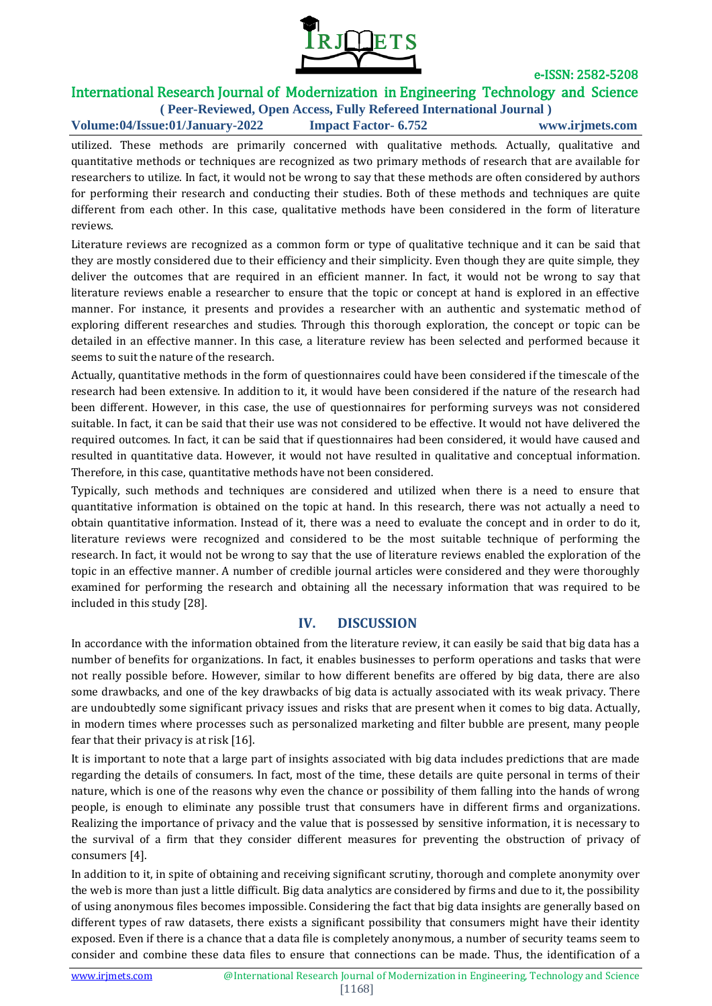

# International Research Journal of Modernization in Engineering Technology and Science

**( Peer-Reviewed, Open Access, Fully Refereed International Journal ) Volume:04/Issue:01/January-2022 Impact Factor- 6.752 www.irjmets.com**

utilized. These methods are primarily concerned with qualitative methods. Actually, qualitative and quantitative methods or techniques are recognized as two primary methods of research that are available for researchers to utilize. In fact, it would not be wrong to say that these methods are often considered by authors for performing their research and conducting their studies. Both of these methods and techniques are quite different from each other. In this case, qualitative methods have been considered in the form of literature reviews.

Literature reviews are recognized as a common form or type of qualitative technique and it can be said that they are mostly considered due to their efficiency and their simplicity. Even though they are quite simple, they deliver the outcomes that are required in an efficient manner. In fact, it would not be wrong to say that literature reviews enable a researcher to ensure that the topic or concept at hand is explored in an effective manner. For instance, it presents and provides a researcher with an authentic and systematic method of exploring different researches and studies. Through this thorough exploration, the concept or topic can be detailed in an effective manner. In this case, a literature review has been selected and performed because it seems to suit the nature of the research.

Actually, quantitative methods in the form of questionnaires could have been considered if the timescale of the research had been extensive. In addition to it, it would have been considered if the nature of the research had been different. However, in this case, the use of questionnaires for performing surveys was not considered suitable. In fact, it can be said that their use was not considered to be effective. It would not have delivered the required outcomes. In fact, it can be said that if questionnaires had been considered, it would have caused and resulted in quantitative data. However, it would not have resulted in qualitative and conceptual information. Therefore, in this case, quantitative methods have not been considered.

Typically, such methods and techniques are considered and utilized when there is a need to ensure that quantitative information is obtained on the topic at hand. In this research, there was not actually a need to obtain quantitative information. Instead of it, there was a need to evaluate the concept and in order to do it, literature reviews were recognized and considered to be the most suitable technique of performing the research. In fact, it would not be wrong to say that the use of literature reviews enabled the exploration of the topic in an effective manner. A number of credible journal articles were considered and they were thoroughly examined for performing the research and obtaining all the necessary information that was required to be included in this study [28].

### **IV. DISCUSSION**

In accordance with the information obtained from the literature review, it can easily be said that big data has a number of benefits for organizations. In fact, it enables businesses to perform operations and tasks that were not really possible before. However, similar to how different benefits are offered by big data, there are also some drawbacks, and one of the key drawbacks of big data is actually associated with its weak privacy. There are undoubtedly some significant privacy issues and risks that are present when it comes to big data. Actually, in modern times where processes such as personalized marketing and filter bubble are present, many people fear that their privacy is at risk [16].

It is important to note that a large part of insights associated with big data includes predictions that are made regarding the details of consumers. In fact, most of the time, these details are quite personal in terms of their nature, which is one of the reasons why even the chance or possibility of them falling into the hands of wrong people, is enough to eliminate any possible trust that consumers have in different firms and organizations. Realizing the importance of privacy and the value that is possessed by sensitive information, it is necessary to the survival of a firm that they consider different measures for preventing the obstruction of privacy of consumers [4].

In addition to it, in spite of obtaining and receiving significant scrutiny, thorough and complete anonymity over the web is more than just a little difficult. Big data analytics are considered by firms and due to it, the possibility of using anonymous files becomes impossible. Considering the fact that big data insights are generally based on different types of raw datasets, there exists a significant possibility that consumers might have their identity exposed. Even if there is a chance that a data file is completely anonymous, a number of security teams seem to consider and combine these data files to ensure that connections can be made. Thus, the identification of a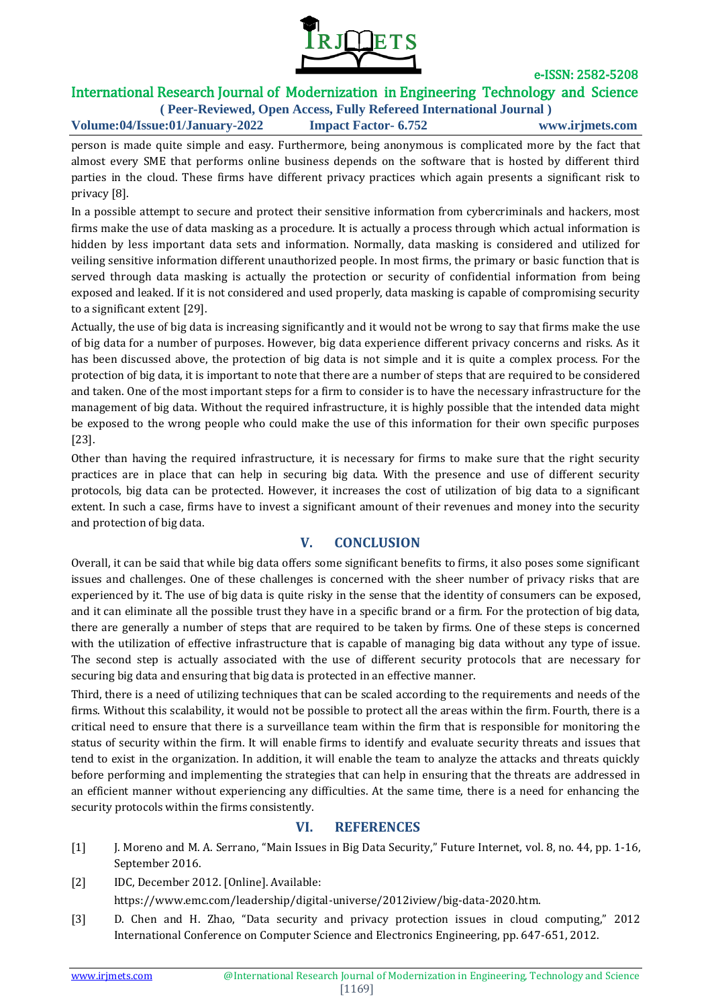

# International Research Journal of Modernization in Engineering Technology and Science

**( Peer-Reviewed, Open Access, Fully Refereed International Journal ) Volume:04/Issue:01/January-2022 Impact Factor- 6.752 www.irjmets.com**

person is made quite simple and easy. Furthermore, being anonymous is complicated more by the fact that almost every SME that performs online business depends on the software that is hosted by different third parties in the cloud. These firms have different privacy practices which again presents a significant risk to privacy [8].

In a possible attempt to secure and protect their sensitive information from cybercriminals and hackers, most firms make the use of data masking as a procedure. It is actually a process through which actual information is hidden by less important data sets and information. Normally, data masking is considered and utilized for veiling sensitive information different unauthorized people. In most firms, the primary or basic function that is served through data masking is actually the protection or security of confidential information from being exposed and leaked. If it is not considered and used properly, data masking is capable of compromising security to a significant extent [29].

Actually, the use of big data is increasing significantly and it would not be wrong to say that firms make the use of big data for a number of purposes. However, big data experience different privacy concerns and risks. As it has been discussed above, the protection of big data is not simple and it is quite a complex process. For the protection of big data, it is important to note that there are a number of steps that are required to be considered and taken. One of the most important steps for a firm to consider is to have the necessary infrastructure for the management of big data. Without the required infrastructure, it is highly possible that the intended data might be exposed to the wrong people who could make the use of this information for their own specific purposes [23].

Other than having the required infrastructure, it is necessary for firms to make sure that the right security practices are in place that can help in securing big data. With the presence and use of different security protocols, big data can be protected. However, it increases the cost of utilization of big data to a significant extent. In such a case, firms have to invest a significant amount of their revenues and money into the security and protection of big data.

### **V. CONCLUSION**

Overall, it can be said that while big data offers some significant benefits to firms, it also poses some significant issues and challenges. One of these challenges is concerned with the sheer number of privacy risks that are experienced by it. The use of big data is quite risky in the sense that the identity of consumers can be exposed, and it can eliminate all the possible trust they have in a specific brand or a firm. For the protection of big data, there are generally a number of steps that are required to be taken by firms. One of these steps is concerned with the utilization of effective infrastructure that is capable of managing big data without any type of issue. The second step is actually associated with the use of different security protocols that are necessary for securing big data and ensuring that big data is protected in an effective manner.

Third, there is a need of utilizing techniques that can be scaled according to the requirements and needs of the firms. Without this scalability, it would not be possible to protect all the areas within the firm. Fourth, there is a critical need to ensure that there is a surveillance team within the firm that is responsible for monitoring the status of security within the firm. It will enable firms to identify and evaluate security threats and issues that tend to exist in the organization. In addition, it will enable the team to analyze the attacks and threats quickly before performing and implementing the strategies that can help in ensuring that the threats are addressed in an efficient manner without experiencing any difficulties. At the same time, there is a need for enhancing the security protocols within the firms consistently.

### **VI. REFERENCES**

- [1] J. Moreno and M. A. Serrano, "Main Issues in Big Data Security," Future Internet, vol. 8, no. 44, pp. 1-16, September 2016.
- [2] IDC, December 2012. [Online]. Available:

https://www.emc.com/leadership/digital-universe/2012iview/big-data-2020.htm.

[3] D. Chen and H. Zhao, "Data security and privacy protection issues in cloud computing," 2012 International Conference on Computer Science and Electronics Engineering, pp. 647-651, 2012.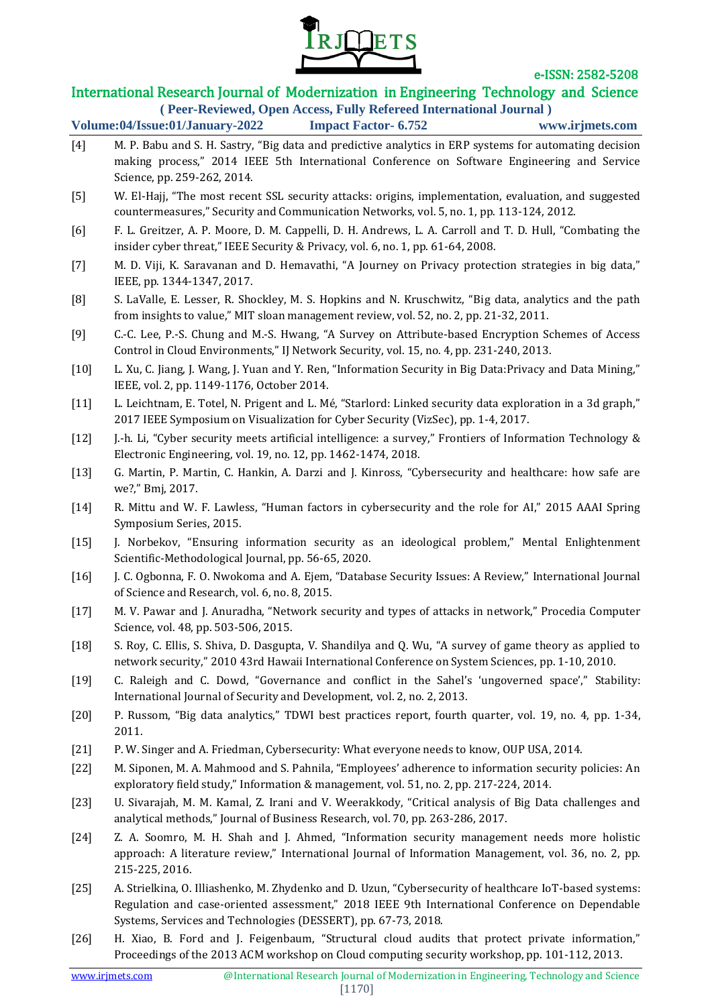

# International Research Journal of Modernization in Engineering Technology and Science

| (Peer-Reviewed, Open Access, Fully Refereed International Journal) |                             |                 |
|--------------------------------------------------------------------|-----------------------------|-----------------|
| Volume:04/Issue:01/January-2022                                    | <b>Impact Factor- 6.752</b> | www.irjmets.com |

- [4] M. P. Babu and S. H. Sastry, "Big data and predictive analytics in ERP systems for automating decision making process," 2014 IEEE 5th International Conference on Software Engineering and Service Science, pp. 259-262, 2014.
- [5] W. El‐Hajj, "The most recent SSL security attacks: origins, implementation, evaluation, and suggested countermeasures," Security and Communication Networks, vol. 5, no. 1, pp. 113-124, 2012.
- [6] F. L. Greitzer, A. P. Moore, D. M. Cappelli, D. H. Andrews, L. A. Carroll and T. D. Hull, "Combating the insider cyber threat," IEEE Security & Privacy, vol. 6, no. 1, pp. 61-64, 2008.
- [7] M. D. Viji, K. Saravanan and D. Hemavathi, "A Journey on Privacy protection strategies in big data," IEEE, pp. 1344-1347, 2017.
- [8] S. LaValle, E. Lesser, R. Shockley, M. S. Hopkins and N. Kruschwitz, "Big data, analytics and the path from insights to value," MIT sloan management review, vol. 52, no. 2, pp. 21-32, 2011.
- [9] C.-C. Lee, P.-S. Chung and M.-S. Hwang, "A Survey on Attribute-based Encryption Schemes of Access Control in Cloud Environments," IJ Network Security, vol. 15, no. 4, pp. 231-240, 2013.
- [10] L. Xu, C. Jiang, J. Wang, J. Yuan and Y. Ren, "Information Security in Big Data:Privacy and Data Mining," IEEE, vol. 2, pp. 1149-1176, October 2014.
- [11] L. Leichtnam, E. Totel, N. Prigent and L. Mé, "Starlord: Linked security data exploration in a 3d graph," 2017 IEEE Symposium on Visualization for Cyber Security (VizSec), pp. 1-4, 2017.
- [12] J.-h. Li, "Cyber security meets artificial intelligence: a survey," Frontiers of Information Technology & Electronic Engineering, vol. 19, no. 12, pp. 1462-1474, 2018.
- [13] G. Martin, P. Martin, C. Hankin, A. Darzi and J. Kinross, "Cybersecurity and healthcare: how safe are we?," Bmj, 2017.
- [14] R. Mittu and W. F. Lawless, "Human factors in cybersecurity and the role for AI," 2015 AAAI Spring Symposium Series, 2015.
- [15] J. Norbekov, "Ensuring information security as an ideological problem," Mental Enlightenment Scientific-Methodological Journal, pp. 56-65, 2020.
- [16] J. C. Ogbonna, F. O. Nwokoma and A. Ejem, "Database Security Issues: A Review," International Journal of Science and Research, vol. 6, no. 8, 2015.
- [17] M. V. Pawar and J. Anuradha, "Network security and types of attacks in network," Procedia Computer Science, vol. 48, pp. 503-506, 2015.
- [18] S. Roy, C. Ellis, S. Shiva, D. Dasgupta, V. Shandilya and Q. Wu, "A survey of game theory as applied to network security," 2010 43rd Hawaii International Conference on System Sciences, pp. 1-10, 2010.
- [19] C. Raleigh and C. Dowd, "Governance and conflict in the Sahel's 'ungoverned space'," Stability: International Journal of Security and Development, vol. 2, no. 2, 2013.
- [20] P. Russom, "Big data analytics," TDWI best practices report, fourth quarter, vol. 19, no. 4, pp. 1-34, 2011.
- [21] P. W. Singer and A. Friedman, Cybersecurity: What everyone needs to know, OUP USA, 2014.
- [22] M. Siponen, M. A. Mahmood and S. Pahnila, "Employees' adherence to information security policies: An exploratory field study," Information & management, vol. 51, no. 2, pp. 217-224, 2014.
- [23] U. Sivarajah, M. M. Kamal, Z. Irani and V. Weerakkody, "Critical analysis of Big Data challenges and analytical methods," Journal of Business Research, vol. 70, pp. 263-286, 2017.
- [24] Z. A. Soomro, M. H. Shah and J. Ahmed, "Information security management needs more holistic approach: A literature review," International Journal of Information Management, vol. 36, no. 2, pp. 215-225, 2016.
- [25] A. Strielkina, O. Illiashenko, M. Zhydenko and D. Uzun, "Cybersecurity of healthcare IoT-based systems: Regulation and case-oriented assessment," 2018 IEEE 9th International Conference on Dependable Systems, Services and Technologies (DESSERT), pp. 67-73, 2018.
- [26] H. Xiao, B. Ford and J. Feigenbaum, "Structural cloud audits that protect private information," Proceedings of the 2013 ACM workshop on Cloud computing security workshop, pp. 101-112, 2013.